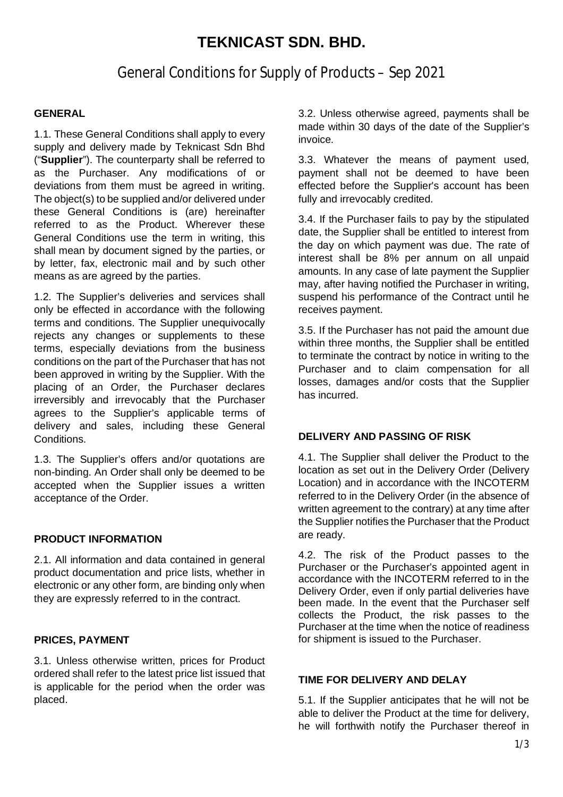# **TEKNICAST SDN. BHD.**

## General Conditions for Supply of Products – Sep 2021

## **GENERAL**

1.1. These General Conditions shall apply to every supply and delivery made by Teknicast Sdn Bhd ("**Supplier**"). The counterparty shall be referred to as the Purchaser. Any modifications of or deviations from them must be agreed in writing. The object(s) to be supplied and/or delivered under these General Conditions is (are) hereinafter referred to as the Product. Wherever these General Conditions use the term in writing, this shall mean by document signed by the parties, or by letter, fax, electronic mail and by such other means as are agreed by the parties.

1.2. The Supplier's deliveries and services shall only be effected in accordance with the following terms and conditions. The Supplier unequivocally rejects any changes or supplements to these terms, especially deviations from the business conditions on the part of the Purchaser that has not been approved in writing by the Supplier. With the placing of an Order, the Purchaser declares irreversibly and irrevocably that the Purchaser agrees to the Supplier's applicable terms of delivery and sales, including these General Conditions.

1.3. The Supplier's offers and/or quotations are non-binding. An Order shall only be deemed to be accepted when the Supplier issues a written acceptance of the Order.

### **PRODUCT INFORMATION**

2.1. All information and data contained in general product documentation and price lists, whether in electronic or any other form, are binding only when they are expressly referred to in the contract.

### **PRICES, PAYMENT**

3.1. Unless otherwise written, prices for Product ordered shall refer to the latest price list issued that is applicable for the period when the order was placed.

3.2. Unless otherwise agreed, payments shall be made within 30 days of the date of the Supplier's invoice.

3.3. Whatever the means of payment used, payment shall not be deemed to have been effected before the Supplier's account has been fully and irrevocably credited.

3.4. If the Purchaser fails to pay by the stipulated date, the Supplier shall be entitled to interest from the day on which payment was due. The rate of interest shall be 8% per annum on all unpaid amounts. In any case of late payment the Supplier may, after having notified the Purchaser in writing, suspend his performance of the Contract until he receives payment.

3.5. If the Purchaser has not paid the amount due within three months, the Supplier shall be entitled to terminate the contract by notice in writing to the Purchaser and to claim compensation for all losses, damages and/or costs that the Supplier has incurred.

### **DELIVERY AND PASSING OF RISK**

4.1. The Supplier shall deliver the Product to the location as set out in the Delivery Order (Delivery Location) and in accordance with the INCOTERM referred to in the Delivery Order (in the absence of written agreement to the contrary) at any time after the Supplier notifies the Purchaser that the Product are ready.

4.2. The risk of the Product passes to the Purchaser or the Purchaser's appointed agent in accordance with the INCOTERM referred to in the Delivery Order, even if only partial deliveries have been made. In the event that the Purchaser self collects the Product, the risk passes to the Purchaser at the time when the notice of readiness for shipment is issued to the Purchaser.

## **TIME FOR DELIVERY AND DELAY**

5.1. If the Supplier anticipates that he will not be able to deliver the Product at the time for delivery, he will forthwith notify the Purchaser thereof in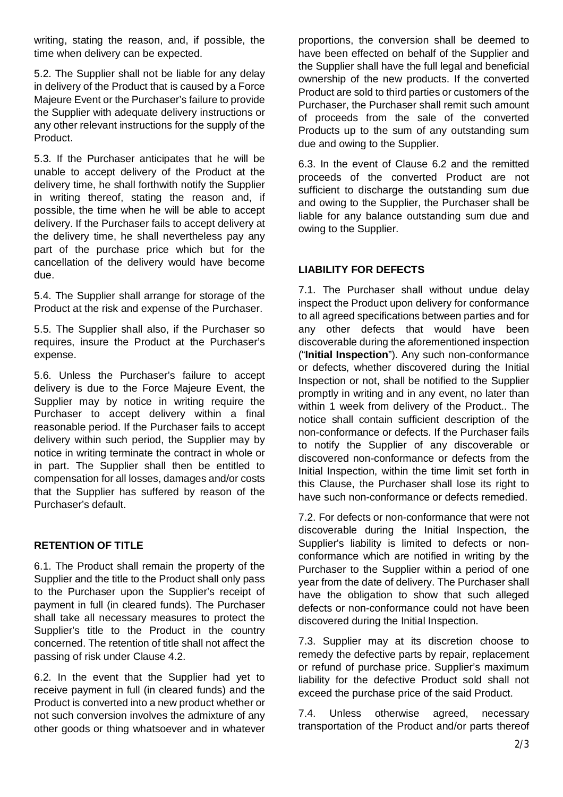writing, stating the reason, and, if possible, the time when delivery can be expected.

5.2. The Supplier shall not be liable for any delay in delivery of the Product that is caused by a Force Majeure Event or the Purchaser's failure to provide the Supplier with adequate delivery instructions or any other relevant instructions for the supply of the Product.

5.3. If the Purchaser anticipates that he will be unable to accept delivery of the Product at the delivery time, he shall forthwith notify the Supplier in writing thereof, stating the reason and, if possible, the time when he will be able to accept delivery. If the Purchaser fails to accept delivery at the delivery time, he shall nevertheless pay any part of the purchase price which but for the cancellation of the delivery would have become due.

5.4. The Supplier shall arrange for storage of the Product at the risk and expense of the Purchaser.

5.5. The Supplier shall also, if the Purchaser so requires, insure the Product at the Purchaser's expense.

5.6. Unless the Purchaser's failure to accept delivery is due to the Force Majeure Event, the Supplier may by notice in writing require the Purchaser to accept delivery within a final reasonable period. If the Purchaser fails to accept delivery within such period, the Supplier may by notice in writing terminate the contract in whole or in part. The Supplier shall then be entitled to compensation for all losses, damages and/or costs that the Supplier has suffered by reason of the Purchaser's default.

## **RETENTION OF TITLE**

6.1. The Product shall remain the property of the Supplier and the title to the Product shall only pass to the Purchaser upon the Supplier's receipt of payment in full (in cleared funds). The Purchaser shall take all necessary measures to protect the Supplier's title to the Product in the country concerned. The retention of title shall not affect the passing of risk under Clause 4.2.

6.2. In the event that the Supplier had yet to receive payment in full (in cleared funds) and the Product is converted into a new product whether or not such conversion involves the admixture of any other goods or thing whatsoever and in whatever proportions, the conversion shall be deemed to have been effected on behalf of the Supplier and the Supplier shall have the full legal and beneficial ownership of the new products. If the converted Product are sold to third parties or customers of the Purchaser, the Purchaser shall remit such amount of proceeds from the sale of the converted Products up to the sum of any outstanding sum due and owing to the Supplier.

6.3. In the event of Clause 6.2 and the remitted proceeds of the converted Product are not sufficient to discharge the outstanding sum due and owing to the Supplier, the Purchaser shall be liable for any balance outstanding sum due and owing to the Supplier.

## **LIABILITY FOR DEFECTS**

7.1. The Purchaser shall without undue delay inspect the Product upon delivery for conformance to all agreed specifications between parties and for any other defects that would have been discoverable during the aforementioned inspection ("**Initial Inspection**"). Any such non-conformance or defects, whether discovered during the Initial Inspection or not, shall be notified to the Supplier promptly in writing and in any event, no later than within 1 week from delivery of the Product.. The notice shall contain sufficient description of the non-conformance or defects. If the Purchaser fails to notify the Supplier of any discoverable or discovered non-conformance or defects from the Initial Inspection, within the time limit set forth in this Clause, the Purchaser shall lose its right to have such non-conformance or defects remedied.

7.2. For defects or non-conformance that were not discoverable during the Initial Inspection, the Supplier's liability is limited to defects or nonconformance which are notified in writing by the Purchaser to the Supplier within a period of one year from the date of delivery. The Purchaser shall have the obligation to show that such alleged defects or non-conformance could not have been discovered during the Initial Inspection.

7.3. Supplier may at its discretion choose to remedy the defective parts by repair, replacement or refund of purchase price. Supplier's maximum liability for the defective Product sold shall not exceed the purchase price of the said Product.

7.4. Unless otherwise agreed, necessary transportation of the Product and/or parts thereof